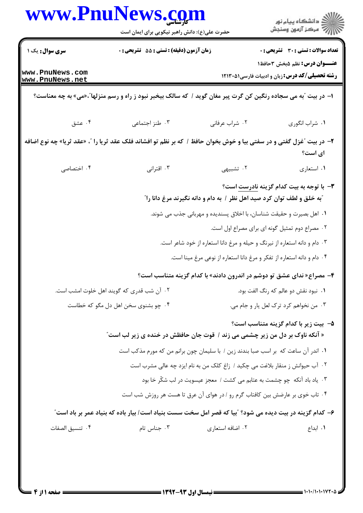| www.PnuNews.com                    | حضرت علی(ع): دانش راهبر نیکویی برای ایمان است                                                                       |                                                                                                                                                 | ِ<br>∭ دانشڪاه پيام نور<br>∭ مرڪز آزمون وسنڊش                                           |  |
|------------------------------------|---------------------------------------------------------------------------------------------------------------------|-------------------------------------------------------------------------------------------------------------------------------------------------|-----------------------------------------------------------------------------------------|--|
| <b>سری سوال :</b> یک ۱             | زمان آزمون (دقیقه) : تستی : 55 آتشریحی : 0                                                                          |                                                                                                                                                 | <b>تعداد سوالات : تستی : 30 ٪ تشریحی : 0</b>                                            |  |
| www.PnuNews.com<br>www.PnuNews.net |                                                                                                                     |                                                                                                                                                 | <b>عنـــوان درس:</b> نظم ۵بخش ۳حافظ۱<br>رشته تحصیلی/کد درس: زبان و ادبیات فارسی ۱۲۱۳۰۵۱ |  |
|                                    | ا- در بیت آبه می سجاده رنگین کن گرت پیر مغان گوید / که سالک بیخبر نبود ز راه و رسم منزلهاآ،«می» به چه معناست؟       |                                                                                                                                                 |                                                                                         |  |
| ۰۴ عشق                             | ۰۳ طنز اجتماعی                                                                                                      | ۰۲ شراب عرفاني                                                                                                                                  | ٠١ شراب انگوري                                                                          |  |
|                                    | ۲- در بیت ″غزل گفتی و در سفتی بیا و خوش بخوان حافظ / که بر نظم تو افشاند فلک عقد ثریا را ″، «عقد ثریا» چه نوع اضافه |                                                                                                                                                 | ای است؟                                                                                 |  |
| ۰۴ اختصاصی                         | ۰۳ اقترانی                                                                                                          | ۲. تشبیهی                                                                                                                                       | ۰۱ استعاري                                                                              |  |
|                                    |                                                                                                                     | ّبه خلق و لطف توان کرد صید اهل نظر / به دام و دانه نگیرند مرغ دانا را ً<br>۰۱ اهل بصیرت و حقیقت شناسان، با اخلاق پسندیده و مهربانی جذب می شوند. | <b>۳</b> - با توجه به بیت کدام گزینه <mark>نادرست</mark> است؟                           |  |
|                                    |                                                                                                                     | ۰۲ مصراع دوم تمثیل گونه ای برای مصراع اول است.                                                                                                  |                                                                                         |  |
|                                    |                                                                                                                     | ۰۳ دام و دانه استعاره از نیرنگ و حیله و مرغ دانا استعاره از خود شاعر است.                                                                       |                                                                                         |  |
|                                    |                                                                                                                     | ۰۴ دام و دانه استعاره از تفکر و مرغ دانا استعاره از نوعی مرغ مینا است.                                                                          |                                                                                         |  |
|                                    |                                                                                                                     | ۴- مصراع« ندای عشق تو دوشم در اندرون دادند» با کدام گزینه متناسب است؟                                                                           |                                                                                         |  |
|                                    | ۰۲ آن شب قدری که گویند اهل خلوت امشب است.                                                                           |                                                                                                                                                 | ۰۱ نبود نقش دو عالم که رنگ الفت بود.                                                    |  |
|                                    | ۰۴ چو بشنوی سخن اهل دل مگو که خطاست                                                                                 |                                                                                                                                                 | ٠٣ من نخواهم كرد ترك لعل يار و جام مي.                                                  |  |
|                                    | « آنکه ناوک بر دل من زیر چشمی می زند / قوت جان حافظش در خنده ی زیر لب است"                                          |                                                                                                                                                 | ۵– بیت زیر با کدام گزینه متناسب است؟                                                    |  |
|                                    |                                                                                                                     | 1. اندر آن ساعت كه بر اسب صبا بندند زين / با سليمان چون برانم من كه مورم مذكب است                                                               |                                                                                         |  |
|                                    |                                                                                                                     | ۰۲ آب حیوانش ز منقار بلاغت می چکید / زاغ کلک من به نام ایزد چه عالی مشرب است                                                                    |                                                                                         |  |
|                                    |                                                                                                                     | ۰۳ یاد باد آنکه چو چشمت به عتابم می کشت / معجز عیسویت در لب شکّر خا بود                                                                         |                                                                                         |  |
|                                    |                                                                                                                     | ۰۴ تاب خوی بر عارضش بین کافتاب گرم رو / در هوای آن عرق تا هست هر روزش شب است                                                                    |                                                                                         |  |
|                                    | ۶– کدام گزینه در بیت دیده می شود؟ "بیا که قصر امل سخت سست بنیاد است/ بیار باده که بنیاد عمر بر باد است"             |                                                                                                                                                 |                                                                                         |  |
| ۰۴ تنسيق الصفات                    | ۰۳ جناس تام                                                                                                         | ۰۲ اضافه استعاری                                                                                                                                | ٠١. ابداع                                                                               |  |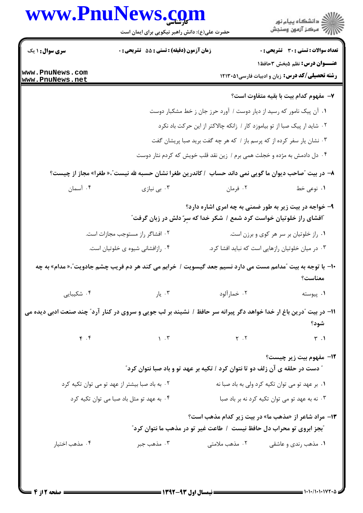## www.PnuNews.com



″ دست در حلقه ی آن زلف دو تا نتوان کرد / تکیه بر عهد تو و باد صبا نتوان کرد″

| گ به باد صبا بیشتر از عهد تو می توان تکیه کرد <b>ب</b> | ۰۱ بر عهد تو می توان تکیه کرد ولی به باد صبا نه |
|--------------------------------------------------------|-------------------------------------------------|
| ۰۴ . به عهد تو مثل باد صبا می توان تکیه کرد            | ۰۳ نه به عهد تو می توان تکیه کرد نه بر باد صبا  |

**۱۳**- مراد شاعر از «مذهب ما» در بیت زیر کدام مذهب است؟ آبجز ابروي تو محراب دل حافظ نيست ١ طاعت غير تو در مذهب ما نتوان كرد"

۰۴ مذهب اختیار ۰۳ مذهب جبر ۰۲ مذهب ملامتے ۰۱ مذهب ,ندی و عاشقی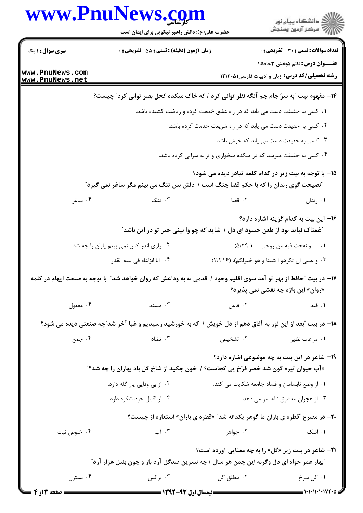|                                    | www.PnuNews.com<br>حضرت علی(ع): دانش راهبر نیکویی برای ایمان است                                                 |                                                                   | ر<br>دانشڪاه پيام نور)<br>اڳ مرڪز آزمون وسنڊش                                                 |  |
|------------------------------------|------------------------------------------------------------------------------------------------------------------|-------------------------------------------------------------------|-----------------------------------------------------------------------------------------------|--|
| <b>سری سوال : ۱ یک</b>             | زمان آزمون (دقیقه) : تستی : 55 آتشریحی : 0                                                                       |                                                                   | <b>تعداد سوالات : تستی : 30 - تشریحی : 0</b>                                                  |  |
| www.PnuNews.com<br>www.PnuNews.net |                                                                                                                  |                                                                   | <b>عنـــوان درس:</b> نظم ۵بخش ۳حافظ۱<br><b>رشته تحصیلی/کد درس:</b> زبان و ادبیات فارسی(۱۲۱۳۰۵ |  |
|                                    | ۱۴- مفهوم بیت ؒبه سرّ جام جم آنگه نظر توانی کرد / که خاک میکده کحل بصر توانی کرد ؒ چیست؟                         |                                                                   |                                                                                               |  |
|                                    |                                                                                                                  |                                                                   | ۰۱ کسی به حقیقت دست می یابد که در راه عشق خدمت کرده و ریاضت کشیده باشد.                       |  |
|                                    |                                                                                                                  |                                                                   | ۰۲ کسی به حقیقت دست می یابد که در راه شریعت خدمت کرده باشد.                                   |  |
|                                    |                                                                                                                  |                                                                   | ۰۳ کسی به حقیقت دست می یابد که خوش باشد.                                                      |  |
|                                    |                                                                                                                  |                                                                   | ۰۴ کسی به حقیقت میرسد که در میکده میخواری و ترانه سرایی کرده باشد.                            |  |
|                                    | "نصیحت گوی رندان را که با حکم قضا جنگ است / دلش بس تنگ می بینم مگر ساغر نمی گیرد"                                |                                                                   | 1۵– با توجه به بیت زیر در کدام کلمه تبادر دیده می شود؟                                        |  |
| ۰۴ ساغر                            | ۰۳ تنگ                                                                                                           | ۰۲ قضا                                                            | ۰۱ رندان                                                                                      |  |
|                                    | <i>"</i> غمناک نباید بود از طعن حسود ای دل / شاید که چو وا بینی خیر تو در این باشد                               |                                                                   | ۱۶– این بیت به کدام گزینه اشاره دارد؟                                                         |  |
|                                    | ۰۲ یاری اندر کس نمی بینم یاران را چه شد                                                                          |                                                                   | ۰۱  و نفخت فيه من روحي  ( ۵/۲۹)                                                               |  |
|                                    | ۰۴ انا انزلناه في ليله القدر                                                                                     |                                                                   | ۰۳ و عسى ان تكرهو ا شيئا و هو خيرلكم). (٢/٢١۶)                                                |  |
|                                    | ۱۷– در بیت ″حافظ از بهر تو آمد سوی اقلیم وجود / قدمی نه به وداعش که روان خواهد شد″ با توجه به صنعت ایهام در کلمه |                                                                   | «روان» این واژه چه نقشی نمی پذیرد؟                                                            |  |
| ۰۴ مفعول                           | . $\mathbb{C}$ مسند $\mathbb{C}$                                                                                 |                                                                   | ا فاعل $\mathcal{N}$ فاعل $\mathcal{N}$<br>۰۱ قید                                             |  |
|                                    | ۱۸– در بیت آبعد از این نور به آفاق دهم از دل خویش / که به خورشید رسیدیم و غبا آخر شد ّچه صنعتی دیده می شود؟      |                                                                   |                                                                                               |  |
| ۰۴ جمع                             | ۰۳ تضاد                                                                                                          | ۰۲ تشخیص                                                          | ۰۱ مراعات نظیر                                                                                |  |
|                                    | «آب حیوان تیره گون شد خضر فرّخ پی کجاست؟ / خون چکید از شاخ گل باد بهاران را چه شد؟"                              |                                                                   | <b>۱۹</b> - شاعر در این بیت به چه موضوعی اشاره دارد؟                                          |  |
| ۰۲ از بی وفایی یار گله دارد.       |                                                                                                                  |                                                                   | ٠١ از وضع نابسامان و فساد جامعه شكايت مى كند.                                                 |  |
|                                    | ۰۴ از اقبال خود شکوه دارد.                                                                                       | ۰۳ از هجران معشوق ناله سر می دهد.                                 |                                                                                               |  |
|                                    |                                                                                                                  |                                                                   | <b>۲۰</b> - در مصرع "قطره ی باران ما گوهر یکدانه شد" «قطره ی باران» استعاره از چیست؟          |  |
| ۰۴ خلوص نیت                        | ۰۳ آب                                                                                                            | ۰۲ جواهر                                                          | ۰۱ اشک                                                                                        |  |
|                                    |                                                                                                                  |                                                                   | <b>۲۱</b> - شاعر در بیت زیر «گل» را به چه معنایی آورده است؟                                   |  |
|                                    | <sup>"</sup> بهار عمر خواه ای دل وگرنه این چمن هر سال / چه نسرین صدگل آرد بار و چون بلبل هزار آرد <i>"</i>       |                                                                   |                                                                                               |  |
| ۰۴ نسترن                           | ۰۳ نرگس                                                                                                          | ۰۲ مطلق گل                                                        | ۰۱ گل سرخ                                                                                     |  |
| <b>F</b> مفحه ۱۳ از ۴              |                                                                                                                  | ـــــــــــــــــــــــــــــــــــ نیمسال اول ۹۳-۱۳۹۲ ــــــــــ | = ۱۰۱۰/۱۰۱۰۱۷۲۰۵ =                                                                            |  |